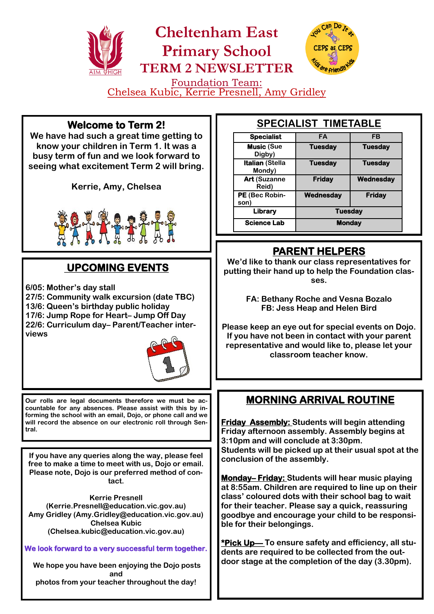

Chelsea Kubic, Kerrie Presnell, Amy Gridley Ϊ

#### **Welcome to Term 2!**

**We have had such a great time getting to know your children in Term 1. It was a busy term of fun and we look forward to seeing what excitement Term 2 will bring.** 

**Kerrie, Amy, Chelsea**



# **UPCOMING EVENTS**

**6/05: Mother's day stall 27/5: Community walk excursion (date TBC) 13/6: Queen's birthday public holiday 17/6: Jump Rope for Heart– Jump Off Day**

**22/6: Curriculum day– Parent/Teacher interviews**



**Our rolls are legal documents therefore we must be accountable for any absences. Please assist with this by informing the school with an email, Dojo, or phone call and we will record the absence on our electronic roll through Sentral.**

**If you have any queries along the way, please feel free to make a time to meet with us, Dojo or email. Please note, Dojo is our preferred method of contact.** 

**Kerrie Presnell (Kerrie.Presnell@education.vic.gov.au) Amy Gridley (Amy.Gridley@education.vic.gov.au) Chelsea Kubic (Chelsea.kubic@education.vic.gov.au)**

**We look forward to a very successful term together.** 

**We hope you have been enjoying the Dojo posts and photos from your teacher throughout the day!** 

#### **SPECIALIST TIMETABLE**

| <b>Specialist</b>                | <b>FA</b>      | FB             |
|----------------------------------|----------------|----------------|
| <b>Music (Sue</b><br>Digby)      | <b>Tuesday</b> | <b>Tuesday</b> |
| <b>Italian (Stella</b><br>Mondy) | <b>Tuesday</b> | <b>Tuesday</b> |
| <b>Art (Suzanne</b><br>Reid)     | <b>Friday</b>  | Wednesday      |
| PE (Bec Robin-<br>son            | Wednesday      | <b>Friday</b>  |
| Library                          | <b>Tuesday</b> |                |
| <b>Science Lab</b>               | <b>Monday</b>  |                |

#### **PARENT HELPERS**

**We'd like to thank our class representatives for putting their hand up to help the Foundation classes.** 

> **FA: Bethany Roche and Vesna Bozalo FB: Jess Heap and Helen Bird**

**Please keep an eye out for special events on Dojo. If you have not been in contact with your parent representative and would like to, please let your classroom teacher know.** 

## **MORNING ARRIVAL ROUTINE**

**Friday Assembly: Students will begin attending Friday afternoon assembly. Assembly begins at 3:10pm and will conclude at 3:30pm. Students will be picked up at their usual spot at the conclusion of the assembly.** 

**Monday– Friday: Students will hear music playing at 8:55am. Children are required to line up on their class' coloured dots with their school bag to wait for their teacher. Please say a quick, reassuring goodbye and encourage your child to be responsible for their belongings.** 

**\*Pick Up— To ensure safety and efficiency, all students are required to be collected from the outdoor stage at the completion of the day (3.30pm).**